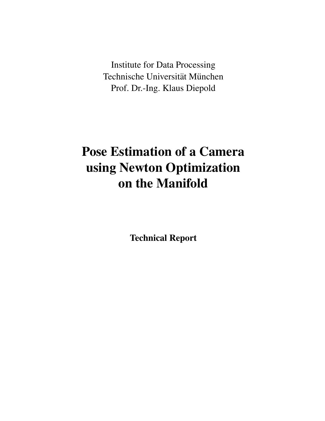Institute for Data Processing Technische Universität München Prof. Dr.-Ing. Klaus Diepold

# Pose Estimation of a Camera using Newton Optimization on the Manifold

Technical Report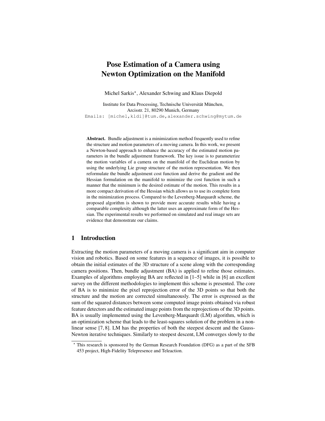# Pose Estimation of a Camera using Newton Optimization on the Manifold

Michel Sarkis\*, Alexander Schwing and Klaus Diepold

Institute for Data Processing, Technische Universität München, Arcisstr. 21, 80290 Munich, Germany Emails: [michel,kldi]@tum.de,alexander.schwing@mytum.de

Abstract. Bundle adjustment is a minimization method frequently used to refine the structure and motion parameters of a moving camera. In this work, we present a Newton-based approach to enhance the accuracy of the estimated motion parameters in the bundle adjustment framework. The key issue is to parameterize the motion variables of a camera on the manifold of the Euclidean motion by using the underlying Lie group structure of the motion representation. We then reformulate the bundle adjustment cost function and derive the gradient and the Hessian formulation on the manifold to minimize the cost function in such a manner that the minimum is the desired estimate of the motion. This results in a more compact derivation of the Hessian which allows us to use its complete form in the minimization process. Compared to the Levenberg-Marquardt scheme, the proposed algorithm is shown to provide more accurate results while having a comparable complexity although the latter uses an approximate form of the Hessian. The experimental results we performed on simulated and real image sets are evidence that demonstrate our claims.

# 1 Introduction

Extracting the motion parameters of a moving camera is a significant aim in computer vision and robotics. Based on some features in a sequence of images, it is possible to obtain the initial estimates of the 3D structure of a scene along with the corresponding camera positions. Then, bundle adjustment (BA) is applied to refine those estimates. Examples of algorithms employing BA are reflected in  $[1-5]$  while in  $[6]$  an excellent survey on the different methodologies to implement this scheme is presented. The core of BA is to minimize the pixel reprojection error of the 3D points so that both the structure and the motion are corrected simultaneously. The error is expressed as the sum of the squared distances between some computed image points obtained via robust feature detectors and the estimated image points from the reprojections of the 3D points. BA is usually implemented using the Levenberg-Marquardt (LM) algorithm, which is an optimization scheme that leads to the least-squares solution of the problem in a nonlinear sense [7, 8]. LM has the properties of both the steepest descent and the Gauss-Newton iterative techniques. Similarly to steepest descent, LM converges slowly to the

<sup>?</sup> This research is sponsored by the German Research Foundation (DFG) as a part of the SFB 453 project, High-Fidelity Telepresence and Teleaction.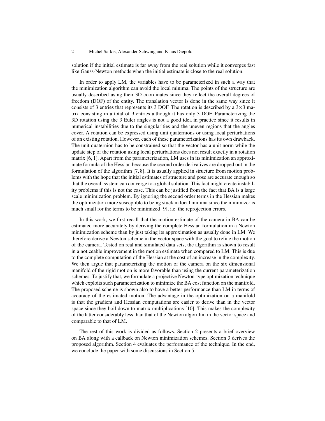solution if the initial estimate is far away from the real solution while it converges fast like Gauss-Newton methods when the initial estimate is close to the real solution.

In order to apply LM, the variables have to be parameterized in such a way that the minimization algorithm can avoid the local minima. The points of the structure are usually described using their 3D coordinates since they reflect the overall degrees of freedom (DOF) of the entity. The translation vector is done in the same way since it consists of 3 entries that represents its 3 DOF. The rotation is described by a  $3\times3$  matrix consisting in a total of 9 entries although it has only 3 DOF. Parameterizing the 3D rotation using the 3 Euler angles is not a good idea in practice since it results in numerical instabilities due to the singularities and the uneven regions that the angles cover. A rotation can be expressed using unit quaternions or using local perturbations of an existing rotation. However, each of these parameterizations has its own drawback. The unit quaternion has to be constrained so that the vector has a unit norm while the update step of the rotation using local perturbations does not result exactly in a rotation matrix [6, 1]. Apart from the parameterization, LM uses in its minimization an approximate formula of the Hessian because the second order derivatives are dropped out in the formulation of the algorithm [7, 8]. It is usually applied in structure from motion problems with the hope that the initial estimates of structure and pose are accurate enough so that the overall system can converge to a global solution. This fact might create instability problems if this is not the case. This can be justified from the fact that BA is a large scale minimization problem. By ignoring the second order terms in the Hessian makes the optimization more susceptible to being stuck in local minima since the minimizer is much small for the terms to be minimized [9], i.e. the reprojection errors.

In this work, we first recall that the motion estimate of the camera in BA can be estimated more accurately by deriving the complete Hessian formulation in a Newton minimization scheme than by just taking its approximation as usually done in LM. We therefore derive a Newton scheme in the vector space with the goal to refine the motion of the camera. Tested on real and simulated data sets, the algorithm is shown to result in a noticeable improvement in the motion estimate when compared to LM. This is due to the complete computation of the Hessian at the cost of an increase in the complexity. We then argue that parameterizing the motion of the camera on the six dimensional manifold of the rigid motion is more favorable than using the current parameterization schemes. To justify that, we formulate a projective Newton-type optimization technique which exploits such parameterization to minimize the BA cost function on the manifold. The proposed scheme is shown also to have a better performance than LM in terms of accuracy of the estimated motion. The advantage in the optimization on a manifold is that the gradient and Hessian computations are easier to derive than in the vector space since they boil down to matrix multiplications [10]. This makes the complexity of the latter considerably less than that of the Newton algorithm in the vector space and comparable to that of LM.

The rest of this work is divided as follows. Section 2 presents a brief overview on BA along with a callback on Newton minimization schemes. Section 3 derives the proposed algorithm. Section 4 evaluates the performance of the technique. In the end, we conclude the paper with some discussions in Section 5.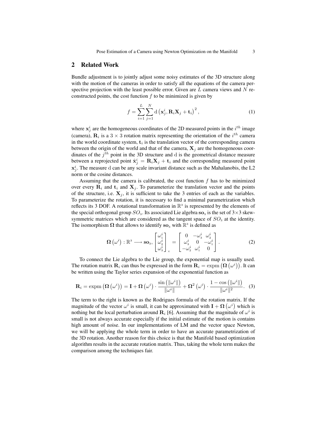# 2 Related Work

Bundle adjustment is to jointly adjust some noisy estimates of the 3D structure along with the motion of the cameras in order to satisfy all the equations of the camera perspective projection with the least possible error. Given are  $L$  camera views and  $N$  reconstructed points, the cost function  $f$  to be minimized is given by

$$
f = \sum_{i=1}^{L} \sum_{j=1}^{N} d\left(\mathbf{x}_j^i, \mathbf{R}_i \mathbf{X}_j + \mathbf{t}_i\right)^2, \tag{1}
$$

where  $x_j^i$  are the homogeneous coordinates of the 2D measured points in the  $i^{th}$  image (camera),  $\mathbf{R}_i$  is a 3  $\times$  3 rotation matrix representing the orientation of the  $i^{th}$  camera in the world coordinate system,  $t_i$  is the translation vector of the corresponding camera between the origin of the world and that of the camera,  $X_i$  are the homogeneous coordinates of the  $j<sup>th</sup>$  point in the 3D structure and d is the geometrical distance measure between a reprojected point  $\hat{\mathbf{x}}_j^i = \mathbf{R}_i \mathbf{X}_j + \mathbf{t}_i$  and the corresponding measured point  $\mathbf{x}_j^i$ . The measure d can be any scale invariant distance such as the Mahalanobis, the L2 norm or the cosine distances.

Assuming that the camera is calibrated, the cost function  $f$  has to be minimized over every  $\mathbf{R}_i$  and  $\mathbf{t}_i$  and  $\mathbf{X}_j$ . To parameterize the translation vector and the points of the structure, i.e.  $X_j$ , it is sufficient to take the 3 entries of each as the variables. To parameterize the rotation, it is necessary to find a minimal parametrization which reflects its 3 DOF. A rotational transformation in  $\mathbb{R}^3$  is represented by the elements of the special orthogonal group  $SO_3$ . Its associated Lie algebra so<sub>3</sub> is the set of  $3\times 3$  skewsymmetric matrices which are considered as the tangent space of  $SO<sub>3</sub>$  at the identity. The isomorphism  $\Omega$  that allows to identify so<sub>3</sub> with  $\mathbb{R}^3$  is defined as

$$
\boldsymbol{\Omega}\left(\omega^{i}\right): \mathbb{R}^{3} \longrightarrow \mathbf{so}_{3}, \begin{bmatrix} \omega_{1}^{i} \\ \omega_{2}^{i} \\ \omega_{3}^{i} \end{bmatrix}_{\times} = \begin{bmatrix} 0 & -\omega_{3}^{i} & \omega_{2}^{i} \\ \omega_{3}^{i} & 0 & -\omega_{1}^{i} \\ -\omega_{2}^{i} & \omega_{1}^{i} & 0 \end{bmatrix}.
$$
 (2)

To connect the Lie algebra to the Lie group, the exponential map is usually used. The rotation matrix  $\mathbf{R}_i$  can thus be expressed in the form  $\mathbf{R}_i = \text{expm} \left( \mathbf{\Omega} \left( \omega^i \right) \right)$ . It can be written using the Taylor series expansion of the exponential function as

$$
\mathbf{R}_{i} = \text{expm}\left(\mathbf{\Omega}\left(\omega^{i}\right)\right) = \mathbf{I} + \mathbf{\Omega}\left(\omega^{i}\right) \cdot \frac{\text{sin}\left(\|\omega^{i}\|\right)}{\|\omega^{i}\|} + \mathbf{\Omega}^{2}\left(\omega^{i}\right) \cdot \frac{1 - \cos\left(\|\omega^{i}\|\right)}{\|\omega^{i}\|^{2}}.\tag{3}
$$

The term to the right is known as the Rodrigues formula of the rotation matrix. If the magnitude of the vector  $\omega^i$  is small, it can be approximated with  $\mathbf{I} + \mathbf{\Omega} (\omega^i)$  which is nothing but the local perturbation around  $\mathbf{R}_i$  [6]. Assuming that the magnitude of  $\omega^i$  is small is not always accurate especially if the initial estimate of the motion is contains high amount of noise. In our implementations of LM and the vector space Newton, we will be applying the whole term in order to have an accurate parametrization of the 3D rotation. Another reason for this choice is that the Manifold based optimization algorithm results in the accurate rotation matrix. Thus, taking the whole term makes the comparison among the techniques fair.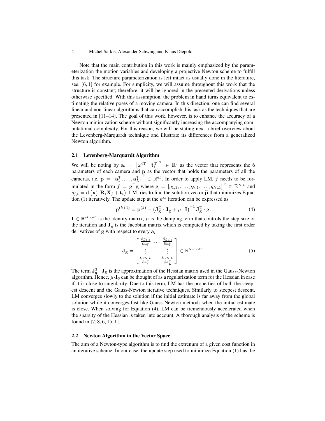Note that the main contribution in this work is mainly emphasized by the parameterization the motion variables and developing a projective Newton scheme to fulfill this task. The structure parameterization is left intact as usually done in the literature, see. [6, 1] for example. For simplicity, we will assume throughout this work that the structure is constant; therefore, it will be ignored in the presented derivations unless otherwise specified. With this assumption, the problem in hand turns equivalent to estimating the relative poses of a moving camera. In this direction, one can find several linear and non-linear algorithms that can accomplish this task as the techniques that are presented in [11–14]. The goal of this work, however, is to enhance the accuracy of a Newton minimization scheme without significantly increasing the accompanying computational complexity. For this reason, we will be stating next a brief overview about the Levenberg-Marquardt technique and illustrate its differences from a generalized Newton algorithm.

## 2.1 Levenberg-Marquardt Algorithm

We will be noting by  $a_i = \begin{bmatrix} \omega^{iT} & \mathbf{t}_i^T \end{bmatrix}^T \in \mathbb{R}^6$  as the vector that represents the 6 parameters of each camera and p as the vector that holds the parameters of all the cameras, i.e.  $\mathbf{p} = \left[\mathbf{a}_1^{\mathrm{T}}, \ldots, \mathbf{a}_L^{\mathrm{T}}\right]^{\mathrm{T}} \in \mathbb{R}^{6L}$ . In order to apply LM, f needs to be formulated in the form  $f = \mathbf{g}^T \mathbf{g}$  where  $\mathbf{g} = [g_{1,1}, \dots, g_{N,1}, \dots, g_{N,L}]^T \in \mathbb{R}^{N \cdot L}$  and  $g_{j,i} = d(\mathbf{x}_j^i, \mathbf{R}_i \mathbf{X}_j + \mathbf{t}_i)$ . LM tries to find the solution vector  $\tilde{\mathbf{p}}$  that minimizes Equation (1) iteratively. The undete step at the *k*<sup>th</sup> iteration can be expressed as tion (1) iteratively. The update step at the  $k<sup>th</sup>$  iteration can be expressed as

$$
\mathbf{p}^{(k+1)} = \mathbf{p}^{(k)} - \left(\mathbf{J}_{\mathbf{g}}^{\mathrm{T}} \cdot \mathbf{J}_{\mathbf{g}} + \mu \cdot \mathbf{I}\right)^{-1} \mathbf{J}_{\mathbf{g}}^{\mathrm{T}} \cdot \mathbf{g}.
$$
 (4)

 $I \in \mathbb{R}^{6L \times 6L}$  is the identity matrix,  $\mu$  is the damping term that controls the step size of the iteration and  $J_g$  is the Jacobian matrix which is computed by taking the first order derivatives of  $g$  with respect to every  $a_i$ 

$$
\mathbf{J}_{\mathbf{g}} = \begin{bmatrix} \frac{\partial g_{1,1}}{\partial \mathbf{a}_1^{\mathrm{T}}} & \cdots & \frac{\partial g_{1,1}}{\partial \mathbf{a}_L^{\mathrm{T}}} \\ \vdots & & \vdots \\ \frac{\partial g_{N,L}}{\partial \mathbf{a}_1^{\mathrm{T}}} & \cdots & \frac{\partial g_{N,L}}{\partial \mathbf{a}_L^{\mathrm{T}}} \end{bmatrix} \in \mathbb{R}^{N \cdot L \times 6L}.
$$
 (5)

The term  $J_g^T \cdot J_g$  is the approximation of the Hessian matrix used in the Gauss-Newton algorithm. Hence,  $\mu \cdot I_6$  can be thought of as a regularization term for the Hessian in case if it is close to singularity. Due to this term, LM has the properties of both the steepest descent and the Gauss-Newton iterative techniques. Similarly to steepest descent, LM converges slowly to the solution if the initial estimate is far away from the global solution while it converges fast like Gauss-Newton methods when the initial estimate is close. When solving for Equation (4), LM can be tremendously accelerated when the sparsity of the Hessian is taken into account. A thorough analysis of the scheme is found in [7, 8, 6, 15, 1].

## 2.2 Newton Algorithm in the Vector Space

The aim of a Newton-type algorithm is to find the extrenum of a given cost function in an iterative scheme. In our case, the update step used to minimize Equation (1) has the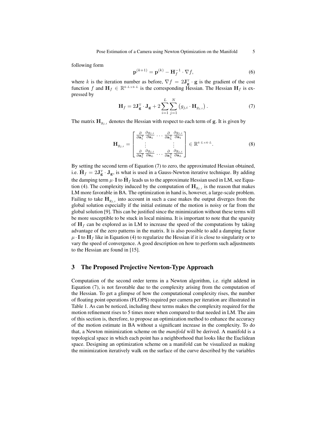following form

$$
\mathbf{p}^{(k+1)} = \mathbf{p}^{(k)} - \mathbf{H}_f^{-1} \cdot \nabla f,\tag{6}
$$

where k is the iteration number as before,  $\nabla f = 2\mathbf{J}_{\mathbf{g}}^{\mathrm{T}} \cdot \mathbf{g}$  is the gradient of the cost function f and  $H_f \in \mathbb{R}^{6 \cdot L \times 6 \cdot L}$  is the corresponding Hessian. The Hessian  $H_f$  is expressed by  $\lambda$ 

$$
\mathbf{H}_f = 2\mathbf{J}_{\mathbf{g}}^{\mathrm{T}} \cdot \mathbf{J}_{\mathbf{g}} + 2\sum_{i=1}^{L} \sum_{j=1}^{N} (g_{j,i} \cdot \mathbf{H}_{g_{j,i}}).
$$
 (7)

The matrix  $\mathbf{H}_{q_{i,i}}$  denotes the Hessian with respect to each term of g. It is given by

$$
\mathbf{H}_{g_{j,i}} = \begin{bmatrix} \frac{\partial}{\partial \mathbf{a}_1^{\mathrm{T}}} \frac{\partial g_{j,i}}{\partial \mathbf{a}_1} \cdots \frac{\partial}{\partial \mathbf{a}_L^{\mathrm{T}}} \frac{\partial g_{j,i}}{\partial \mathbf{a}_1} \\ \vdots \\ \frac{\partial}{\partial \mathbf{a}_1^{\mathrm{T}}} \frac{\partial g_{j,i}}{\partial \mathbf{a}_L} \cdots \frac{\partial}{\partial \mathbf{a}_L^{\mathrm{T}}} \frac{\partial g_{j,i}}{\partial \mathbf{a}_L} \end{bmatrix} \in \mathbb{R}^{6 \cdot L \times 6 \cdot L}.
$$
 (8)

By setting the second term of Equation (7) to zero, the approximated Hessian obtained, i.e.  $\hat{\mathbf{H}}_f = 2\mathbf{J}^{\mathrm{T}}_{\mathbf{g}} \cdot \mathbf{J}_{\mathbf{g}}$ , is what is used in a Gauss-Newton iterative technique. By adding the damping term  $\mu$  · I to  $\hat{\mathbf{H}}_f$  leads us to the approximate Hessian used in LM, see Equation (4). The complexity induced by the computation of  $\mathbf{H}_{g_{j,i}}$  is the reason that makes LM more favorable in BA. The optimization in hand is, however, a large-scale problem. Failing to take  $H_{g_{i,i}}$  into account in such a case makes the output diverges from the global solution especially if the initial estimate of the motion is noisy or far from the global solution [9]. This can be justified since the minimization without these terms will be more susceptible to be stuck in local minima. It is important to note that the sparsity of  $H_f$  can be explored as in LM to increase the speed of the computations by taking advantage of the zero patterns in the matrix. It is also possible to add a damping factor  $\mu \cdot I$  to  $H_f$  like in Equation (4) to regularize the Hessian if it is close to singularity or to vary the speed of convergence. A good description on how to perform such adjustments to the Hessian are found in [15].

# 3 The Proposed Projective Newton-Type Approach

Computation of the second order terms in a Newton algorithm, i.e. right addend in Equation (7), is not favorable due to the complexity arising from the computation of the Hessian. To get a glimpse of how the computational complexity rises, the number of floating point operations (FLOPS) required per camera per iteration are illustrated in Table 1. As can be noticed, including these terms makes the complexity required for the motion refinement rises to 5 times more when compared to that needed in LM. The aim of this section is, therefore, to propose an optimization method to enhance the accuracy of the motion estimate in BA without a significant increase in the complexity. To do that, a Newton minimization scheme on the *manifold* will be derived. A manifold is a topological space in which each point has a neighborhood that looks like the Euclidean space. Designing an optimization scheme on a manifold can be visualized as making the minimization iteratively walk on the surface of the curve described by the variables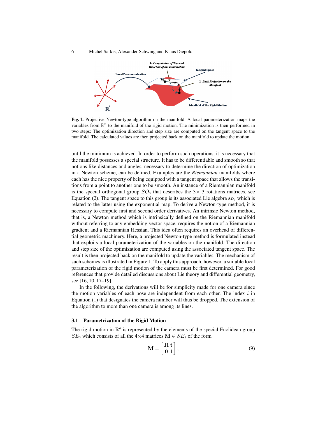

Fig. 1. Projective Newton-type algorithm on the manifold. A local parameterization maps the variables from  $\mathbb{R}^6$  to the manifold of the rigid motion. The minimization is then performed in two steps: The optimization direction and step size are computed on the tangent space to the manifold. The calculated values are then projected back on the manifold to update the motion.

until the minimum is achieved. In order to perform such operations, it is necessary that the manifold possesses a special structure. It has to be differentiable and smooth so that notions like distances and angles, necessary to determine the direction of optimization in a Newton scheme, can be defined. Examples are the *Riemannian* manifolds where each has the nice property of being equipped with a tangent space that allows the transitions from a point to another one to be smooth. An instance of a Riemannian manifold is the special orthogonal group  $SO_3$  that describes the 3× 3 rotations matrices, see Equation (2). The tangent space to this group is its associated Lie algebra  $so<sub>3</sub>$  which is related to the latter using the exponential map. To derive a Newton-type method, it is necessary to compute first and second order derivatives. An intrinsic Newton method, that is, a Newton method which is intrinsically defined on the Riemannian manifold without referring to any embedding vector space, requires the notion of a Riemannian gradient and a Riemannian Hessian. This idea often requires an overhead of differential geometric machinery. Here, a projected Newton-type method is formulated instead that exploits a local parameterization of the variables on the manifold. The direction and step size of the optimization are computed using the associated tangent space. The result is then projected back on the manifold to update the variables. The mechanism of such schemes is illustrated in Figure 1. To apply this approach, however, a suitable local parameterization of the rigid motion of the camera must be first determined. For good references that provide detailed discussions about Lie theory and differential geometry, see [16, 10, 17–19].

In the following, the derivations will be for simplicity made for one camera since the motion variables of each pose are independent from each other. The index  $i$  in Equation (1) that designates the camera number will thus be dropped. The extension of the algorithm to more than one camera is among its lines.

#### 3.1 Parametrization of the Rigid Motion

The rigid motion in  $\mathbb{R}^6$  is represented by the elements of the special Euclidean group  $SE_3$  which consists of all the 4×4 matrices  $\mathbf{M} \in SE_3$  of the form

$$
\mathbf{M} = \begin{bmatrix} \mathbf{R} \ \mathbf{t} \\ \mathbf{0} \ 1 \end{bmatrix},\tag{9}
$$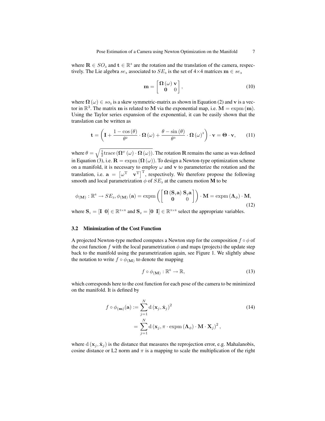where  $\mathbf{R} \in SO_3$  and  $\mathbf{t} \in \mathbb{R}^3$  are the rotation and the translation of the camera, respectively. The Lie algebra  $se_3$  associated to  $SE_3$  is the set of 4×4 matrices  $\mathbf{m} \in se_3$ 

$$
\mathbf{m} = \begin{bmatrix} \mathbf{\Omega}(\omega) & \mathbf{v} \\ \mathbf{0} & 0 \end{bmatrix},\tag{10}
$$

where  $\Omega(\omega) \in so_3$  is a skew symmetric-matrix as shown in Equation (2) and v is a vector in  $\mathbb{R}^3$ . The matrix m is related to M via the exponential map, i.e.  $M = \text{expm}(\mathbf{m})$ . Using the Taylor series expansion of the exponential, it can be easily shown that the translation can be written as

$$
\mathbf{t} = \left( \mathbf{I} + \frac{1 - \cos(\theta)}{\theta^2} \cdot \mathbf{\Omega}(\omega) + \frac{\theta - \sin(\theta)}{\theta^3} \cdot \mathbf{\Omega}(\omega)^2 \right) \cdot \mathbf{v} = \mathbf{\Theta} \cdot \mathbf{v}, \qquad (11)
$$

where  $\theta = \sqrt{\frac{1}{2} \text{trace}(\mathbf{\Omega}^T(\omega) \cdot \mathbf{\Omega}(\omega))}$ . The rotation **R** remains the same as was defined in Equation (3), i.e.  $\mathbf{R} = \exp m (\mathbf{\Omega}(\omega))$ . To design a Newton-type optimization scheme on a manifold, it is necessary to employ  $\omega$  and  $\bf{v}$  to parameterize the rotation and the translation, i.e.  $\mathbf{a} = \begin{bmatrix} \omega^T & \mathbf{v}^T \end{bmatrix}^T$ , respectively. We therefore propose the following smooth and local parametrization  $\phi$  of  $SE_3$  at the camera motion **M** to be

$$
\phi_{(\mathbf{M})}: \mathbb{R}^6 \to SE_3, \phi_{(\mathbf{M})}(\mathbf{a}) = \exp\left(\begin{bmatrix} \mathbf{\Omega}\left(\mathbf{S}_1 \mathbf{a}\right) \mathbf{S}_2 \mathbf{a} \\ \mathbf{0} & 0 \end{bmatrix}\right) \cdot \mathbf{M} = \exp\left(\mathbf{\Lambda}_{\phi}\right) \cdot \mathbf{M},\tag{12}
$$

where  $S_1 = [I \ 0] \in \mathbb{R}^{3 \times 6}$  and  $S_2 = [0 \ I] \in \mathbb{R}^{3 \times 6}$  select the appropriate variables.

#### 3.2 Minimization of the Cost Function

A projected Newton-type method computes a Newton step for the composition  $f \circ \phi$  of the cost function f with the local parametrization  $\phi$  and maps (projects) the update step back to the manifold using the parametrization again, see Figure 1. We slightly abuse the notation to write  $f \circ \phi_{(M)}$  to denote the mapping

$$
f \circ \phi_{(\mathbf{M})} : \mathbb{R}^6 \to \mathbb{R},\tag{13}
$$

which corresponds here to the cost function for each pose of the camera to be minimized on the manifold. It is defined by

$$
f \circ \phi_{(\mathbf{m})}(\mathbf{a}) := \sum_{j=1}^{N} d(\mathbf{x}_{j}, \hat{\mathbf{x}}_{j})^{2}
$$
  
= 
$$
\sum_{j=1}^{N} d(\mathbf{x}_{j}, \pi \cdot \operatorname{expm}(\mathbf{\Lambda}_{\phi}) \cdot \mathbf{M} \cdot \mathbf{X}_{j})^{2},
$$
 (14)

where  $d(x_j, \hat{x}_j)$  is the distance that measures the reprojection error, e.g. Mahalanobis, cosine distance or L2 norm and  $\pi$  is a mapping to scale the multiplication of the right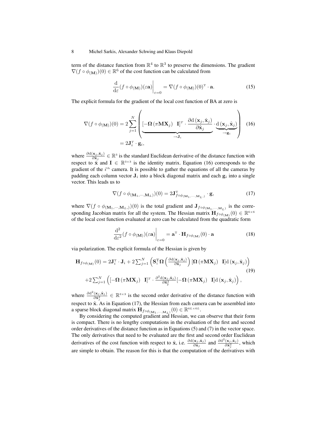term of the distance function from  $\mathbb{R}^4$  to  $\mathbb{R}^3$  to preserve the dimensions. The gradient  $\nabla (f \circ \phi_{(M)})(0) \in \mathbb{R}^6$  of the cost function can be calculated from

$$
\frac{\mathrm{d}}{\mathrm{d}\varepsilon}(f \circ \phi_{(\mathbf{M})})(\varepsilon \mathbf{a})\Big|_{\varepsilon=0} = \nabla (f \circ \phi_{(\mathbf{M})})(0)^{\mathrm{T}} \cdot \mathbf{a}.\tag{15}
$$

The explicit formula for the gradient of the local cost function of BA at zero is

$$
\nabla(f \circ \phi_{(\mathbf{M})})(0) = 2 \sum_{j=1}^{N} \left( \underbrace{[-\mathbf{\Omega}(\pi \mathbf{M} \mathbf{X}_{j}) \mathbf{I}]^{T} \cdot \frac{\partial d(\mathbf{x}_{j}, \hat{\mathbf{x}}_{j})}{\partial \hat{\mathbf{x}}_{j}} \cdot \underbrace{d(\mathbf{x}_{j}, \hat{\mathbf{x}}_{j})}_{\rightarrow \mathbf{g}_{i}} \right) (16)
$$
  
= 2\mathbf{J}\_{i}^{T} \cdot \mathbf{g}\_{i},

where  $\frac{\partial d(x_j, \hat{x}_j)}{\partial \hat{x}_j} \in \mathbb{R}^3$  is the standard Euclidean derivative of the distance function with respect to  $\hat{x}$  and  $I \in \mathbb{R}^{3 \times 3}$  is the identity matrix. Equation (16) corresponds to the gradient of the  $i<sup>th</sup>$  camera. It is possible to gather the equations of all the cameras by padding each column vector  $J_i$  into a block diagonal matrix and each  $g_i$  into a single vector. This leads us to

$$
\nabla (f \circ \phi_{(\mathbf{M}_1, \cdots, \mathbf{M}_L)})(0) = 2\mathbf{J}_{f \circ \phi_{(\mathbf{M}_1, \cdots, \mathbf{M}_L)}}^{\mathrm{T}} \cdot \mathbf{g},\tag{17}
$$

where  $\nabla (f \circ \phi_{(M_1,\dots,M_L)}) (0)$  is the total gradient and  $J_{f \circ \phi_{(M_1,\dots,M_L)}}$  is the corresponding Jacobian matrix for all the system. The Hessian matrix  $\mathbf{H}_{f \circ \phi_{(\mathbf{M})}}(0) \in \mathbb{R}^{6 \times 6}$ of the local cost function evaluated at zero can be calculated from the quadratic form

$$
\left. \frac{\mathrm{d}^2}{\mathrm{d}\varepsilon^2} (f \circ \phi(\mathbf{M})) (\varepsilon \mathbf{a}) \right|_{\varepsilon = 0} = \mathbf{a}^{\mathrm{T}} \cdot \mathbf{H}_{f \circ \phi(\mathbf{M})} (0) \cdot \mathbf{a}
$$
 (18)

via polarization. The explicit formula of the Hessian is given by

$$
\mathbf{H}_{f \circ \phi_{(\mathbf{M})}}(0) = 2\mathbf{J}_{i}^{\mathrm{T}} \cdot \mathbf{J}_{i} + 2 \sum_{j=1}^{N} \left( \mathbf{S}_{1}^{\mathrm{T}} \Omega \left( \frac{\partial d(\mathbf{x}_{j}, \hat{\mathbf{x}}_{j})}{\partial \hat{\mathbf{x}}_{j}} \right) [\Omega (\pi \mathbf{M} \mathbf{X}_{j}) \mathbf{I}] d (\mathbf{x}_{j}, \hat{\mathbf{x}}_{j}) \right)
$$
\n
$$
+ 2 \sum_{j=1}^{N} \left( [-\Omega (\pi \mathbf{M} \mathbf{X}_{j}) \mathbf{I}]^{T} \cdot \frac{\partial^{2} d(\mathbf{x}_{j}, \hat{\mathbf{x}}_{j})}{\partial \hat{\mathbf{x}}_{j}^{2}} [-\Omega (\pi \mathbf{M} \mathbf{X}_{j}) \mathbf{I}] d (\mathbf{x}_{j}, \hat{\mathbf{x}}_{j}) \right),
$$
\n(19)

where  $\frac{\partial d^2(\mathbf{x}_j, \hat{\mathbf{x}}_j)}{\partial \hat{\mathbf{x}}^2}$  $\frac{(x_j,\hat{x}_j)}{\partial \hat{x}_j^2} \in \mathbb{R}^{3 \times 3}$  is the second order derivative of the distance function with respect to  $\hat{\mathbf{x}}$ . As in Equation (17), the Hessian from each camera can be assembled into a sparse block diagonal matrix  $\mathbf{H}_{f \circ \phi_{(\mathbf{M}_1, \cdots, \mathbf{M}_L)}}(0) \in \mathbb{R}^{6L \times 6L}$ .

By considering the computed gradient and Hessian, we can observe that their form is compact. There is no lengthy computations in the evaluation of the first and second order derivatives of the distance function as in Equations (5) and (7) in the vector space. The only derivatives that need to be evaluated are the first and second order Euclidean derivatives of the cost function with respect to  $\hat{\mathbf{x}}$ , i.e.  $\frac{\partial d(\mathbf{x}_j, \hat{\mathbf{x}}_j)}{\partial \hat{\mathbf{x}}_j}$  and  $\frac{\partial d^2(\mathbf{x}_j, \hat{\mathbf{x}}_j)}{\partial \hat{\mathbf{x}}_j^2}$  $\frac{(\mathbf{x}_j, \mathbf{x}_j)}{\partial \hat{\mathbf{x}}_j^2}$ , which are simple to obtain. The reason for this is that the computation of the derivatives with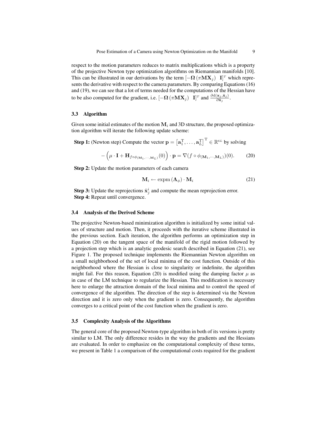respect to the motion parameters reduces to matrix multiplications which is a property of the projective Newton type optimization algorithms on Riemannian manifolds [10]. This can be illustrated in our derivations by the term  $[-\mathbf{\Omega}(\pi \mathbf{M} \mathbf{X}_j)$  I]<sup>T</sup> which represents the derivative with respect to the camera parameters. By comparing Equations (16) and (19), we can see that a lot of terms needed for the computations of the Hessian have to be also computed for the gradient, i.e.  $[-\Omega (\pi M X_j) \quad I]^T$  and  $\frac{\partial d(x_j, \hat{x}_j)}{\partial \hat{x}_j}$ .

#### 3.3 Algorithm

Given some initial estimates of the motion  $M_i$  and 3D structure, the proposed optimization algorithm will iterate the following update scheme:

**Step 1:** (Newton step) Compute the vector  $\mathbf{p} = \left[\mathbf{a}_1^{\mathrm{T}}, \ldots, \mathbf{a}_L^{\mathrm{T}}\right]^{\mathrm{T}} \in \mathbb{R}^{6L}$  by solving

$$
-\left(\mu \cdot \mathbf{I} + \mathbf{H}_{f \circ \phi_{(\mathbf{M}_1, \cdots, \mathbf{M}_L)}}(0)\right) \cdot \mathbf{p} = \nabla (f \circ \phi_{(\mathbf{M}_1, \cdots, \mathbf{M}_L)})(0). \tag{20}
$$

Step 2: Update the motion parameters of each camera

$$
\mathbf{M}_i \leftarrow \text{expm}\left(\mathbf{\Lambda}_{\phi}\right) \cdot \mathbf{M}_i \tag{21}
$$

**Step 3:** Update the reprojections  $\hat{x}_j^i$  and compute the mean reprojection error. Step 4: Repeat until convergence.

#### 3.4 Analysis of the Derived Scheme

The projective Newton-based minimization algorithm is initialized by some initial values of structure and motion. Then, it proceeds with the iterative scheme illustrated in the previous section. Each iteration, the algorithm performs an optimization step in Equation (20) on the tangent space of the manifold of the rigid motion followed by a projection step which is an analytic geodesic search described in Equation (21), see Figure 1. The proposed technique implements the Riemannian Newton algorithm on a small neighborhood of the set of local minima of the cost function. Outside of this neighborhood where the Hessian is close to singularity or indefinite, the algorithm might fail. For this reason, Equation (20) is modified using the damping factor  $\mu$  as in case of the LM technique to regularize the Hessian. This modification is necessary here to enlarge the attraction domain of the local minima and to control the speed of convergence of the algorithm. The direction of the step is determined via the Newton direction and it is zero only when the gradient is zero. Consequently, the algorithm converges to a critical point of the cost function when the gradient is zero.

#### 3.5 Complexity Analysis of the Algorithms

The general core of the proposed Newton-type algorithm in both of its versions is pretty similar to LM. The only difference resides in the way the gradients and the Hessians are evaluated. In order to emphasize on the computational complexity of these terms, we present in Table 1 a comparison of the computational costs required for the gradient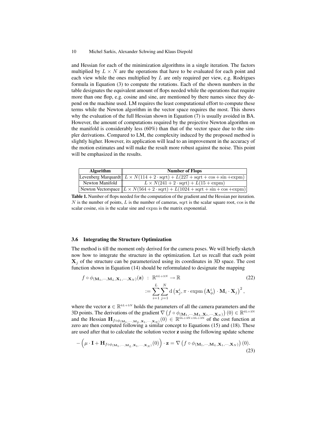and Hessian for each of the minimization algorithms in a single iteration. The factors multiplied by  $L \times N$  are the operations that have to be evaluated for each point and each view while the ones multiplied by  $L$  are only required per view, e.g. Rodrigues formula in Equation (3) to compute the rotations. Each of the shown numbers in the table designates the equivalent amount of flops needed while the operations that require more than one flop, e.g. cosine and sine, are mentioned by there names since they depend on the machine used. LM requires the least computational effort to compute these terms while the Newton algorithm in the vector space requires the most. This shows why the evaluation of the full Hessian shown in Equation (7) is usually avoided in BA. However, the amount of computations required by the projective Newton algorithm on the manifold is considerably less (60%) than that of the vector space due to the simpler derivations. Compared to LM, the complexity induced by the proposed method is slightly higher. However, its application will lead to an improvement in the accuracy of the motion estimates and will make the result more robust against the noise. This point will be emphasized in the results.

| <b>Algorithm</b> | <b>Number of Flops</b>                                                                                             |  |  |  |
|------------------|--------------------------------------------------------------------------------------------------------------------|--|--|--|
|                  | Levenberg Marquardt $L \times N(114 + 2 \cdot \sqrt{sqrt1 + 2(227 + \sqrt{27}) + \sqrt{27}})$                      |  |  |  |
| Newton Manifold  | $L \times N(241 + 2 \cdot \text{sqrt}) + L(15 + \text{expm})$                                                      |  |  |  |
|                  | Newton Vectorspace $\ L \times N(564 + 2 \cdot \text{sqrt}) + L(1024 + \text{sqrt} + \sin + \cos + \text{expm})\ $ |  |  |  |

Table 1. Number of flops needed for the computation of the gradient and the Hessian per iteration.  $N$  is the number of points,  $L$  is the number of cameras, sqrt is the scalar square root, cos is the scalar cosine, sin is the scalar sine and expm is the matrix exponential.

#### 3.6 Integrating the Structure Optimization

The method is till the moment only derived for the camera poses. We will briefly sketch now how to integrate the structure in the optimization. Let us recall that each point  $X_i$  of the structure can be parameterized using its coordinates in 3D space. The cost function shown in Equation (14) should be reformulated to designate the mapping

$$
f \circ \phi_{(\mathbf{M}_1, \cdots, \mathbf{M}_L, \mathbf{X}_1, \cdots, \mathbf{X}_N)}(\mathbf{z}) : \mathbb{R}^{6L+3N} \to \mathbb{R}
$$
\n
$$
:= \sum_{i=1}^L \sum_{j=1}^N d(\mathbf{x}_j^i, \pi \cdot \text{expm}(\Lambda_\phi^i) \cdot \mathbf{M}_i \cdot \mathbf{X}_j)^2,
$$
\n(22)

where the vector  $\mathbf{z} \in \mathbb{R}^{6L+3N}$  holds the parameters of all the camera parameters and the 3D points. The derivations of the gradient  $\nabla \left(f \circ \phi_{(\mathbf{M}_1, \cdots, \mathbf{M}_L, \mathbf{X}_1, \cdots, \mathbf{X}_N)}\right)(0) \in \mathbb{R}^{6L+3N}$ and the Hessian  $\mathbf{H}_{f \circ \phi_{(\mathbf{M}_1,\cdots,\mathbf{M}_L,\mathbf{X}_1,\cdots,\mathbf{X}_N)}(0) \in \mathbb{R}^{6L+3N\times6L+3N}$  of the cost function at zero are then computed following a similar concept to Equations (15) and (18). These are used after that to calculate the solution vector z using the following update scheme

$$
-\left(\mu \cdot \mathbf{I} + \mathbf{H}_{f \circ \phi(\mathbf{M}_1, \cdots, \mathbf{M}_L, \mathbf{X}_1, \cdots, \mathbf{X}_N)}(0)\right) \cdot \mathbf{z} = \nabla \left(f \circ \phi(\mathbf{M}_1, \cdots, \mathbf{M}_L, \mathbf{X}_1, \cdots, \mathbf{X}_N)\right)(0).
$$
\n(23)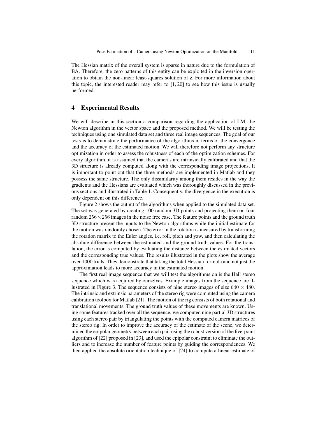The Hessian matrix of the overall system is sparse in nature due to the formulation of BA. Therefore, the zero patterns of this entity can be exploited in the inversion operation to obtain the non-linear least-squares solution of z. For more information about this topic, the interested reader may refer to  $[1, 20]$  to see how this issue is usually performed.

# 4 Experimental Results

We will describe in this section a comparison regarding the application of LM, the Newton algorithm in the vector space and the proposed method. We will be testing the techniques using one simulated data set and three real image sequences. The goal of our tests is to demonstrate the performance of the algorithms in terms of the convergence and the accuracy of the estimated motion. We will therefore not perform any structure optimization in order to assess the robustness of each of the optimization schemes. For every algorithm, it is assumed that the cameras are intrinsically calibrated and that the 3D structure is already computed along with the corresponding image projections. It is important to point out that the three methods are implemented in Matlab and they possess the same structure. The only dissimilarity among them resides in the way the gradients and the Hessians are evaluated which was thoroughly discussed in the previous sections and illustrated in Table 1. Consequently, the divergence in the execution is only dependent on this difference.

Figure 2 shows the output of the algorithms when applied to the simulated data set. The set was generated by creating 100 random 3D points and projecting them on four random  $256 \times 256$  images in the noise free case. The feature points and the ground truth 3D structure present the inputs to the Newton algorithms while the initial estimate for the motion was randomly chosen. The error in the rotation is measured by transforming the rotation matrix to the Euler angles, i.e. roll, pitch and yaw, and then calculating the absolute difference between the estimated and the ground truth values. For the translation, the error is computed by evaluating the distance between the estimated vectors and the corresponding true values. The results illustrated in the plots show the average over 1000 trials. They demonstrate that taking the total Hessian formula and not just the approximation leads to more accuracy in the estimated motion.

The first real image sequence that we will test the algorithms on is the Hall stereo sequence which was acquired by ourselves. Example images from the sequence are illustrated in Figure 3. The sequence consists of nine stereo images of size  $640 \times 480$ . The intrinsic and extrinsic parameters of the stereo rig were computed using the camera calibration toolbox for Matlab [21]. The motion of the rig consists of both rotational and translational movements. The ground truth values of these movements are known. Using some features tracked over all the sequence, we computed nine partial 3D structures using each stereo pair by triangulating the points with the computed camera matrices of the stereo rig. In order to improve the accuracy of the estimate of the scene, we determined the epipolar geometry between each pair using the robust version of the five-point algorithm of [22] proposed in [23], and used the epipolar constraint to eliminate the outliers and to increase the number of feature points by guiding the correspondences. We then applied the absolute orientation technique of [24] to compute a linear estimate of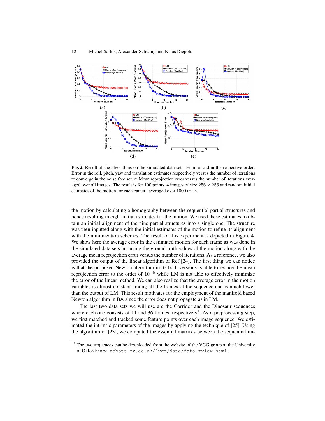

Fig. 2. Result of the algorithms on the simulated data sets. From a to d in the respective order: Error in the roll, pitch, yaw and translation estimates respectively versus the number of iterations to converge in the noise free set. e: Mean reprojection error versus the number of iterations averaged over all images. The result is for 100 points, 4 images of size  $256 \times 256$  and random initial estimates of the motion for each camera averaged over 1000 trials.

the motion by calculating a homography between the sequential partial structures and hence resulting in eight initial estimates for the motion. We used these estimates to obtain an initial alignment of the nine partial structures into a single one. The structure was then inputted along with the initial estimates of the motion to refine its alignment with the minimization schemes. The result of this experiment is depicted in Figure 4. We show here the average error in the estimated motion for each frame as was done in the simulated data sets but using the ground truth values of the motion along with the average mean reprojection error versus the number of iterations. As a reference, we also provided the output of the linear algorithm of Ref [24]. The first thing we can notice is that the proposed Newton algorithm in its both versions is able to reduce the mean reprojection error to the order of  $10^{-5}$  while LM is not able to effectively minimize the error of the linear method. We can also realize that the average error in the motion variables is almost constant among all the frames of the sequence and is much lower than the output of LM. This result motivates for the employment of the manifold based Newton algorithm in BA since the error does not propagate as in LM.

The last two data sets we will use are the Corridor and the Dinosaur sequences where each one consists of 11 and 36 frames, respectively<sup>1</sup>. As a preprocessing step, we first matched and tracked some feature points over each image sequence. We estimated the intrinsic parameters of the images by applying the technique of [25]. Using the algorithm of [23], we computed the essential matrices between the sequential im-

<sup>&</sup>lt;sup>1</sup> The two sequences can be downloaded from the website of the VGG group at the University of Oxford: www.robots.ox.ac.uk/˜vgg/data/data-mview.html.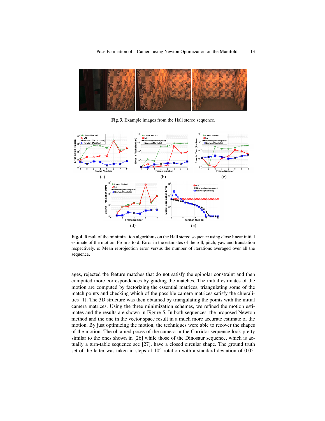

Fig. 3. Example images from the Hall stereo sequence.



Fig. 4. Result of the minimization algorithms on the Hall stereo sequence using close linear initial estimate of the motion. From a to d: Error in the estimates of the roll, pitch, yaw and translation respectively. e: Mean reprojection error versus the number of iterations averaged over all the sequence.

ages, rejected the feature matches that do not satisfy the epipolar constraint and then computed more correspondences by guiding the matches. The initial estimates of the motion are computed by factorizing the essential matrices, triangulating some of the match points and checking which of the possible camera matrices satisfy the chieralities [1]. The 3D structure was then obtained by triangulating the points with the initial camera matrices. Using the three minimization schemes, we refined the motion estimates and the results are shown in Figure 5. In both sequences, the proposed Newton method and the one in the vector space result in a much more accurate estimate of the motion. By just optimizing the motion, the techniques were able to recover the shapes of the motion. The obtained poses of the camera in the Corridor sequence look pretty similar to the ones shown in [26] while those of the Dinosaur sequence, which is actually a turn-table sequence see [27], have a closed circular shape. The ground truth set of the latter was taken in steps of  $10^\circ$  rotation with a standard deviation of 0.05.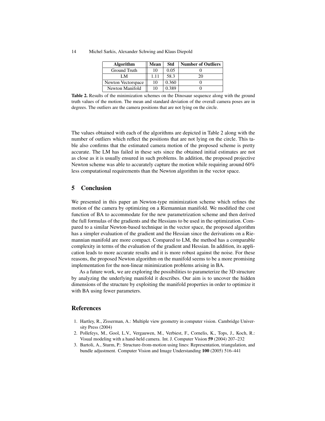| 14 | Michel Sarkis, Alexander Schwing and Klaus Diepold |  |  |  |  |
|----|----------------------------------------------------|--|--|--|--|
|----|----------------------------------------------------|--|--|--|--|

| <b>Algorithm</b>   | Mean | Std   | <b>Number of Outliers</b> |
|--------------------|------|-------|---------------------------|
| Ground Truth       | 10   | 0.05  |                           |
| LM                 | 1.11 | 58.3  |                           |
| Newton Vectorspace | 10   | 0.360 |                           |
| Newton Manifold    |      | 0.389 |                           |

Table 2. Results of the minimization schemes on the Dinosaur sequence along with the ground truth values of the motion. The mean and standard deviation of the overall camera poses are in degrees. The outliers are the camera positions that are not lying on the circle.

The values obtained with each of the algorithms are depicted in Table 2 along with the number of outliers which reflect the positions that are not lying on the circle. This table also confirms that the estimated camera motion of the proposed scheme is pretty accurate. The LM has failed in these sets since the obtained initial estimates are not as close as it is usually ensured in such problems. In addition, the proposed projective Newton scheme was able to accurately capture the motion while requiring around 60% less computational requirements than the Newton algorithm in the vector space.

# 5 Conclusion

We presented in this paper an Newton-type minimization scheme which refines the motion of the camera by optimizing on a Riemannian manifold. We modified the cost function of BA to accommodate for the new parametrization scheme and then derived the full formulas of the gradients and the Hessians to be used in the optimization. Compared to a similar Newton-based technique in the vector space, the proposed algorithm has a simpler evaluation of the gradient and the Hessian since the derivations on a Riemannian manifold are more compact. Compared to LM, the method has a comparable complexity in terms of the evaluation of the gradient and Hessian. In addition, its application leads to more accurate results and it is more robust against the noise. For these reasons, the proposed Newton algorithm on the manifold seems to be a more promising implementation for the non-linear minimization problems arising in BA.

As a future work, we are exploring the possibilities to parameterize the 3D structure by analyzing the underlying manifold it describes. Our aim is to uncover the hidden dimensions of the structure by exploiting the manifold properties in order to optimize it with BA using fewer parameters.

# References

- 1. Hartley, R., Zisserman, A.: Multiple view geometry in computer vision. Cambridge University Press (2004)
- 2. Pollefeys, M., Gool, L.V., Vergauwen, M., Verbiest, F., Cornelis, K., Tops, J., Koch, R.: Visual modeling with a hand-held camera. Int. J. Computer Vision 59 (2004) 207–232
- 3. Bartoli, A., Sturm, P.: Structure-from-motion using lines: Representation, triangulation, and bundle adjustment. Computer Vision and Image Understanding 100 (2005) 516–441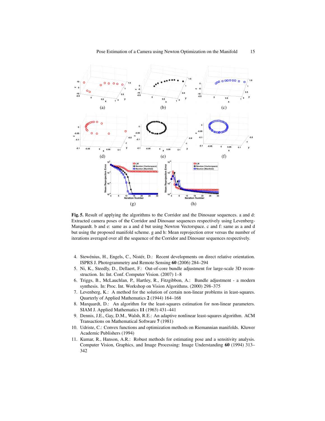

Fig. 5. Result of applying the algorithms to the Corridor and the Dinosaur sequences. a and d: Extracted camera poses of the Corridor and Dinosaur sequences respectively using Levenberg-Marquardt. b and e: same as a and d but using Newton Vectorspace. c and f: same as a and d but using the proposed manifold scheme. g and h: Mean reprojection error versus the number of iterations averaged over all the sequence of the Corridor and Dinosaur sequences respectively.

- 4. Stewénius, H., Engels, C., Nistér, D.: Recent developments on direct relative orientation. ISPRS J. Photogrammetry and Remote Sensing 60 (2006) 284–294
- 5. Ni, K., Steedly, D., Dellaert, F.: Out-of-core bundle adjustment for large-scale 3D reconstruction. In: Int. Conf. Computer Vision. (2007) 1–8
- 6. Triggs, B., McLauchlan, P., Hartley, R., Fitzgibbon, A.: Bundle adjustment a modern synthesis. In: Proc. Int. Workshop on Vision Algorithms. (2000) 298–375
- 7. Levenberg, K.: A method for the solution of certain non-linear problems in least-squares. Quarterly of Applied Mathematics 2 (1944) 164–168
- 8. Marquardt, D.: An algorithm for the least-squares estimation for non-linear parameters. SIAM J. Applied Mathematics 11 (1963) 431–441
- 9. Dennis, J.E., Gay, D.M., Walsh, R.E.: An adaptive nonlinear least-squares algorithm. ACM Transactions on Mathematical Software 7 (1981)
- 10. Udriste, C.: Convex functions and optimization methods on Riemannian manifolds. Kluwer Academic Publishers (1994)
- 11. Kumar, R., Hanson, A.R.: Robust methods for estimating pose and a sensitivity analysis. Computer Vision, Graphics, and Image Processing: Image Understanding 60 (1994) 313– 342